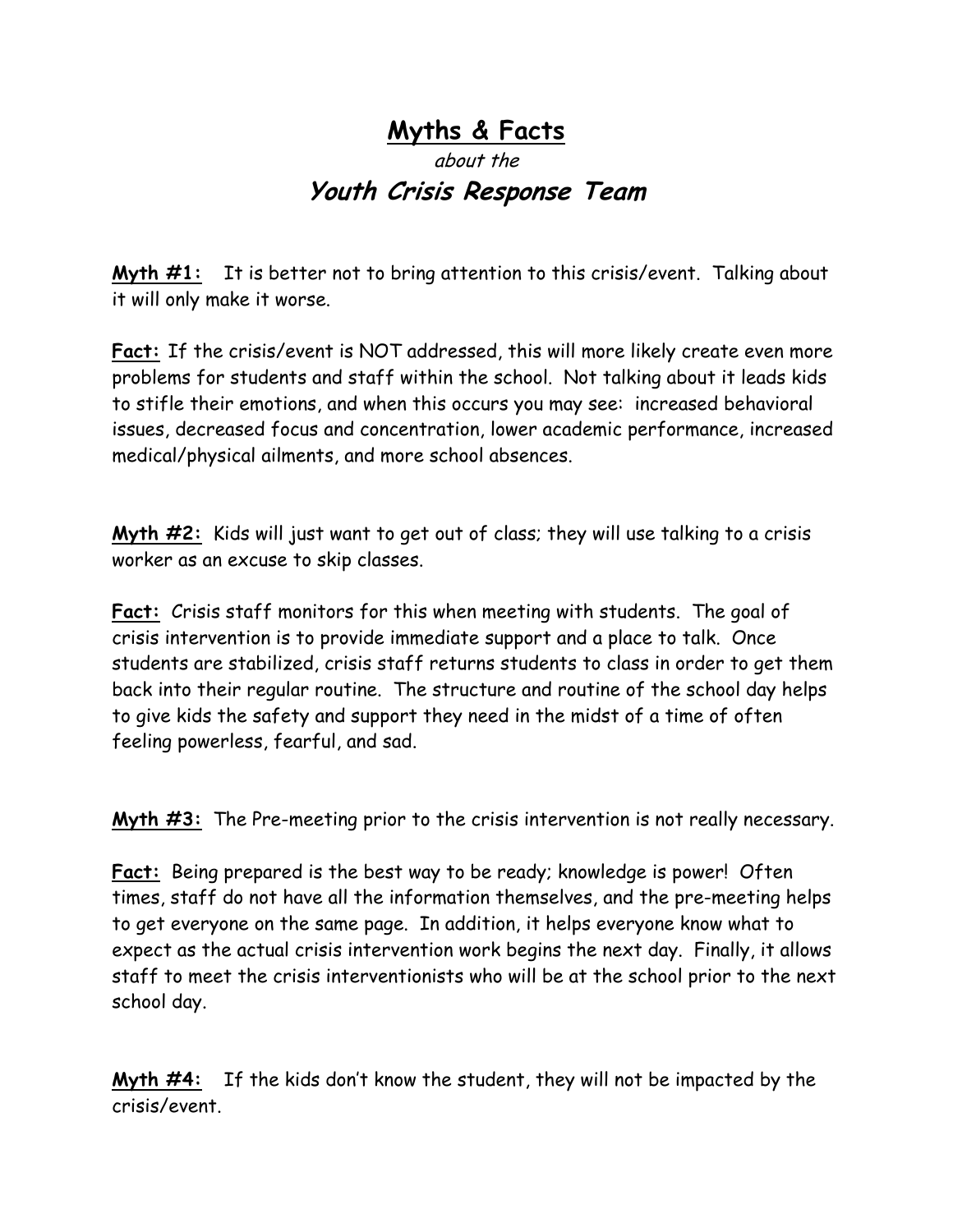## **Myths & Facts**

## about the **Youth Crisis Response Team**

**Myth #1:** It is better not to bring attention to this crisis/event. Talking about it will only make it worse.

**Fact:** If the crisis/event is NOT addressed, this will more likely create even more problems for students and staff within the school. Not talking about it leads kids to stifle their emotions, and when this occurs you may see: increased behavioral issues, decreased focus and concentration, lower academic performance, increased medical/physical ailments, and more school absences.

**Myth #2:** Kids will just want to get out of class; they will use talking to a crisis worker as an excuse to skip classes.

**Fact:** Crisis staff monitors for this when meeting with students. The goal of crisis intervention is to provide immediate support and a place to talk. Once students are stabilized, crisis staff returns students to class in order to get them back into their regular routine. The structure and routine of the school day helps to give kids the safety and support they need in the midst of a time of often feeling powerless, fearful, and sad.

**Myth #3:** The Pre-meeting prior to the crisis intervention is not really necessary.

**Fact:** Being prepared is the best way to be ready; knowledge is power! Often times, staff do not have all the information themselves, and the pre-meeting helps to get everyone on the same page. In addition, it helps everyone know what to expect as the actual crisis intervention work begins the next day. Finally, it allows staff to meet the crisis interventionists who will be at the school prior to the next school day.

**Myth #4:** If the kids don't know the student, they will not be impacted by the crisis/event.